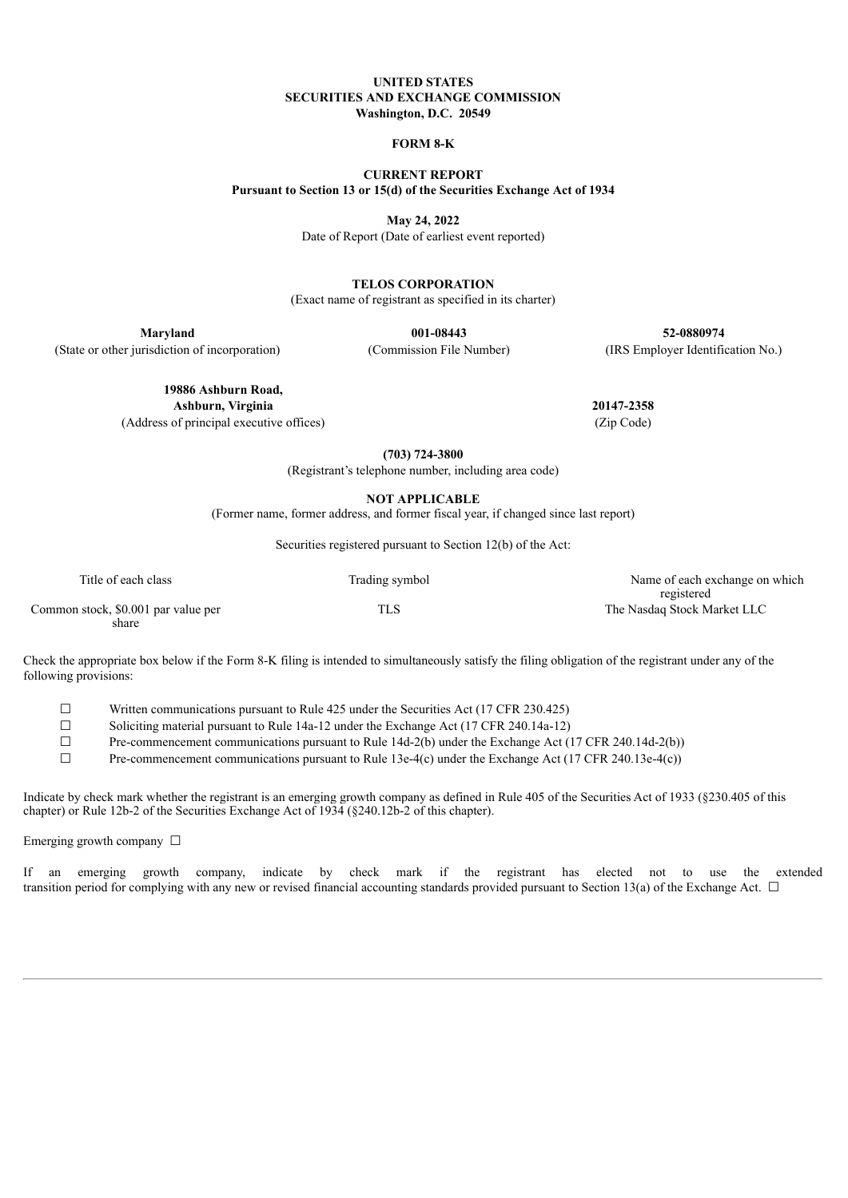#### **UNITED STATES SECURITIES AND EXCHANGE COMMISSION Washington, D.C. 20549**

#### **FORM 8-K**

**CURRENT REPORT Pursuant to Section 13 or 15(d) of the Securities Exchange Act of 1934**

**May 24, 2022**

Date of Report (Date of earliest event reported)

**TELOS CORPORATION**

(Exact name of registrant as specified in its charter)

**Maryland 001-08443 52-0880974**

(State or other jurisdiction of incorporation) (Commission File Number) (IRS Employer Identification No.)

**19886 Ashburn Road,**

**Ashburn, Virginia 20147-2358**

(Address of principal executive offices) (Zip Code)

**(703) 724-3800**

(Registrant's telephone number, including area code)

**NOT APPLICABLE**

(Former name, former address, and former fiscal year, if changed since last report)

Securities registered pursuant to Section 12(b) of the Act:

| Title of each class                 | Trading symbol | Name of each exchange on which            |
|-------------------------------------|----------------|-------------------------------------------|
| Common stock, \$0.001 par value per | TLS            | registered<br>The Nasdaq Stock Market LLC |
| share                               |                |                                           |

Check the appropriate box below if the Form 8-K filing is intended to simultaneously satisfy the filing obligation of the registrant under any of the following provisions:

☐ Written communications pursuant to Rule 425 under the Securities Act (17 CFR 230.425)

☐ Soliciting material pursuant to Rule 14a-12 under the Exchange Act (17 CFR 240.14a-12)

 $\Box$  Pre-commencement communications pursuant to Rule 14d-2(b) under the Exchange Act (17 CFR 240.14d-2(b))

 $\Box$  Pre-commencement communications pursuant to Rule 13e-4(c) under the Exchange Act (17 CFR 240.13e-4(c))

Indicate by check mark whether the registrant is an emerging growth company as defined in Rule 405 of the Securities Act of 1933 (§230.405 of this chapter) or Rule 12b-2 of the Securities Exchange Act of 1934 (§240.12b-2 of this chapter).

Emerging growth company  $\Box$ 

If an emerging growth company, indicate by check mark if the registrant has elected not to use the extended transition period for complying with any new or revised financial accounting standards provided pursuant to Section 13(a) of the Exchange Act.  $\Box$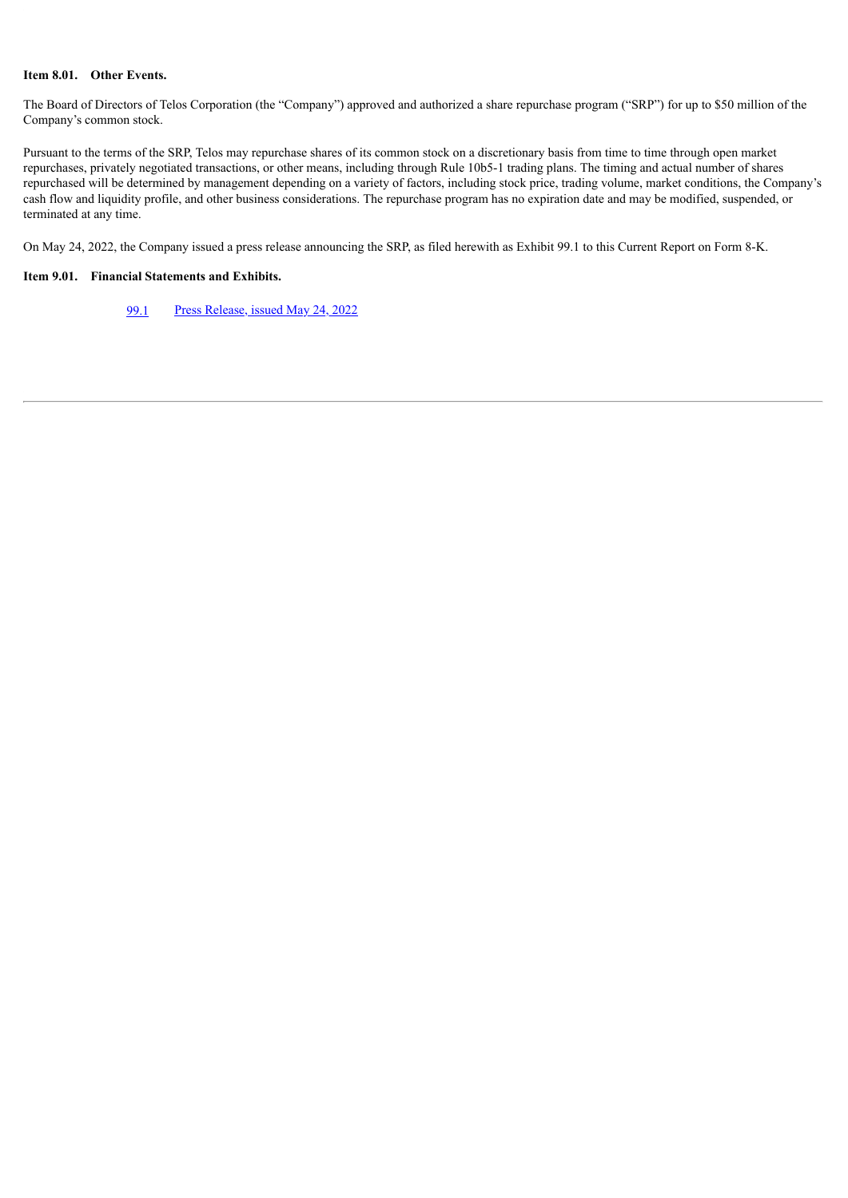#### **Item 8.01. Other Events.**

The Board of Directors of Telos Corporation (the "Company") approved and authorized a share repurchase program ("SRP") for up to \$50 million of the Company's common stock.

Pursuant to the terms of the SRP, Telos may repurchase shares of its common stock on a discretionary basis from time to time through open market repurchases, privately negotiated transactions, or other means, including through Rule 10b5-1 trading plans. The timing and actual number of shares repurchased will be determined by management depending on a variety of factors, including stock price, trading volume, market conditions, the Company's cash flow and liquidity profile, and other business considerations. The repurchase program has no expiration date and may be modified, suspended, or terminated at any time.

On May 24, 2022, the Company issued a press release announcing the SRP, as filed herewith as Exhibit 99.1 to this Current Report on Form 8-K.

### **Item 9.01. Financial Statements and Exhibits.**

[99.1](#page-3-0) Press [Release,](#page-3-0) issued May 24, 2022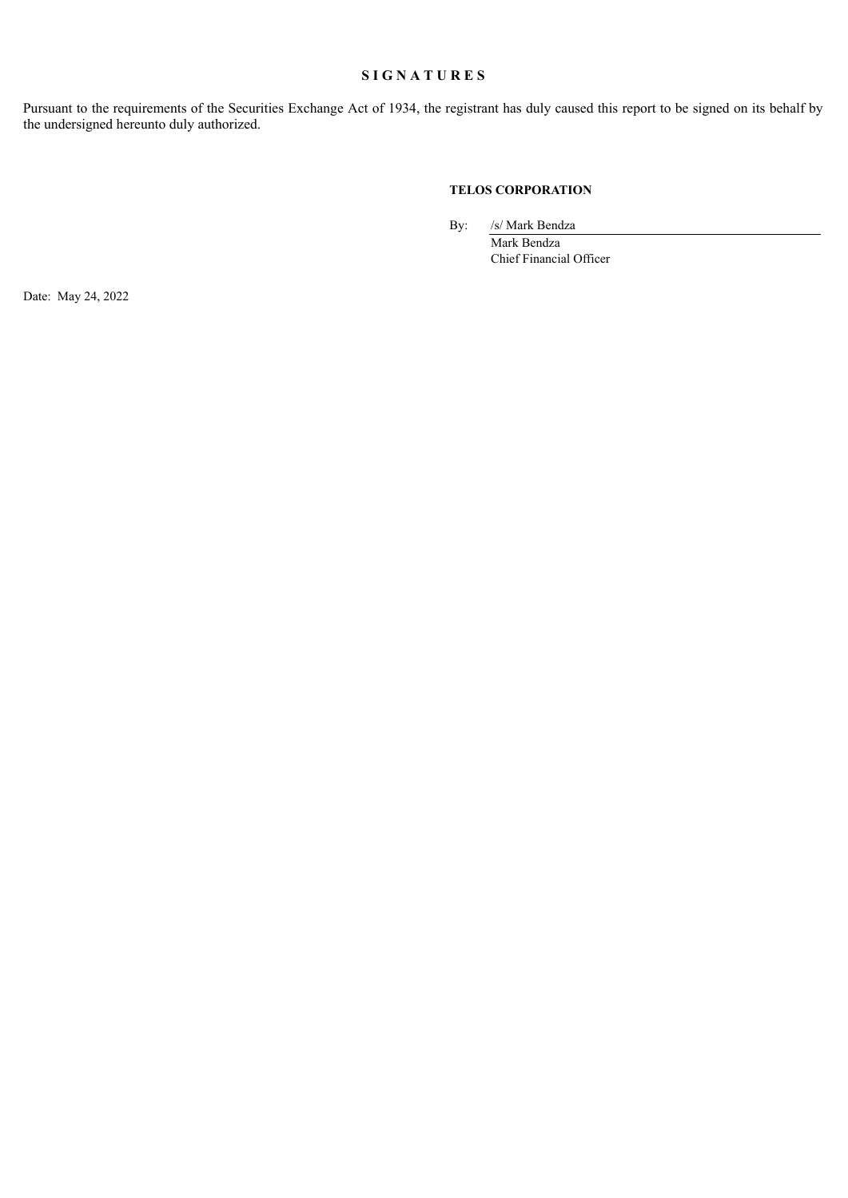# **S I G N A T U R E S**

Pursuant to the requirements of the Securities Exchange Act of 1934, the registrant has duly caused this report to be signed on its behalf by the undersigned hereunto duly authorized.

### **TELOS CORPORATION**

By: /s/ Mark Bendza

Mark Bendza Chief Financial Officer

Date: May 24, 2022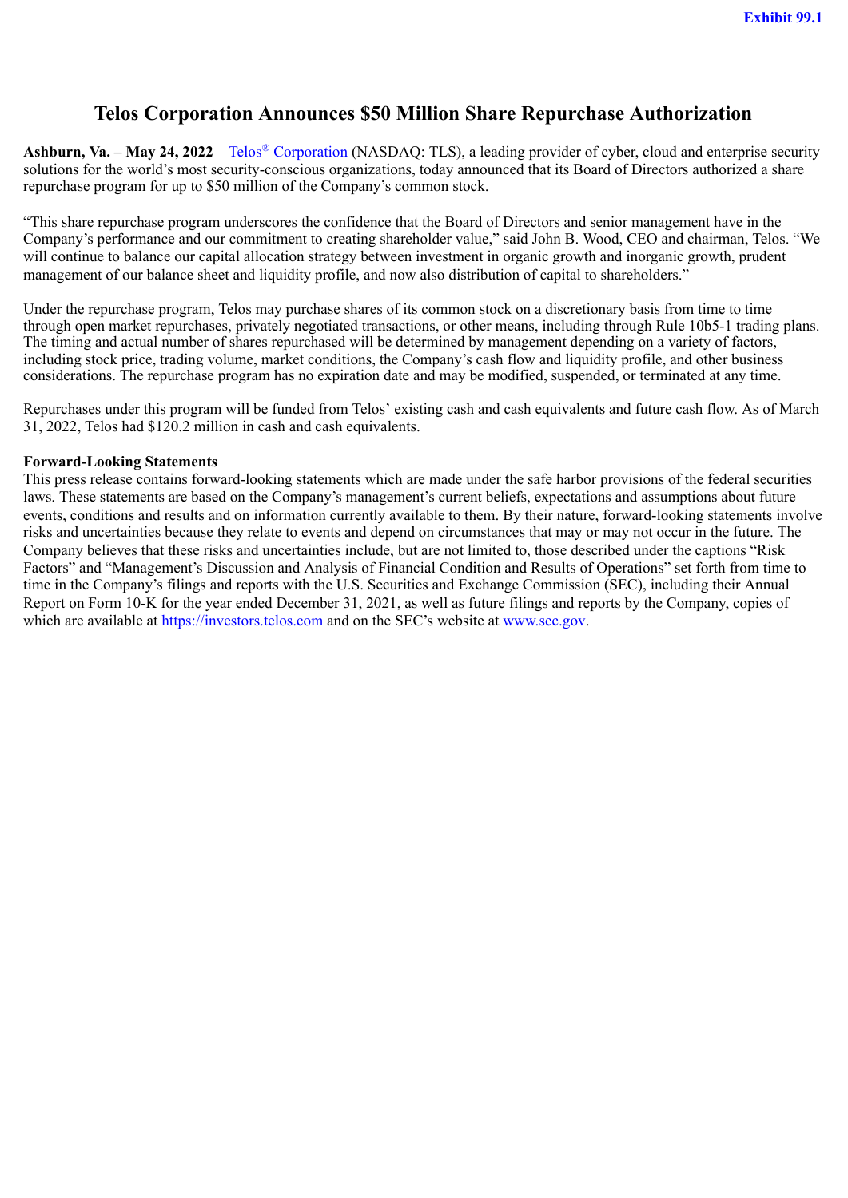# <span id="page-3-0"></span>**Telos Corporation Announces \$50 Million Share Repurchase Authorization**

Ashburn, Va. – May 24, 2022 – Telos<sup>®</sup> Corporation (NASDAQ: TLS), a leading provider of cyber, cloud and enterprise security solutions for the world's most security-conscious organizations, today announced that its Board of Directors authorized a share repurchase program for up to \$50 million of the Company's common stock.

"This share repurchase program underscores the confidence that the Board of Directors and senior management have in the Company's performance and our commitment to creating shareholder value," said John B. Wood, CEO and chairman, Telos. "We will continue to balance our capital allocation strategy between investment in organic growth and inorganic growth, prudent management of our balance sheet and liquidity profile, and now also distribution of capital to shareholders."

Under the repurchase program, Telos may purchase shares of its common stock on a discretionary basis from time to time through open market repurchases, privately negotiated transactions, or other means, including through Rule 10b5-1 trading plans. The timing and actual number of shares repurchased will be determined by management depending on a variety of factors, including stock price, trading volume, market conditions, the Company's cash flow and liquidity profile, and other business considerations. The repurchase program has no expiration date and may be modified, suspended, or terminated at any time.

Repurchases under this program will be funded from Telos' existing cash and cash equivalents and future cash flow. As of March 31, 2022, Telos had \$120.2 million in cash and cash equivalents.

## **Forward-Looking Statements**

This press release contains forward-looking statements which are made under the safe harbor provisions of the federal securities laws. These statements are based on the Company's management's current beliefs, expectations and assumptions about future events, conditions and results and on information currently available to them. By their nature, forward-looking statements involve risks and uncertainties because they relate to events and depend on circumstances that may or may not occur in the future. The Company believes that these risks and uncertainties include, but are not limited to, those described under the captions "Risk Factors" and "Management's Discussion and Analysis of Financial Condition and Results of Operations" set forth from time to time in the Company's filings and reports with the U.S. Securities and Exchange Commission (SEC), including their Annual Report on Form 10-K for the year ended December 31, 2021, as well as future filings and reports by the Company, copies of which are available at https://investors.telos.com and on the SEC's website at www.sec.gov.